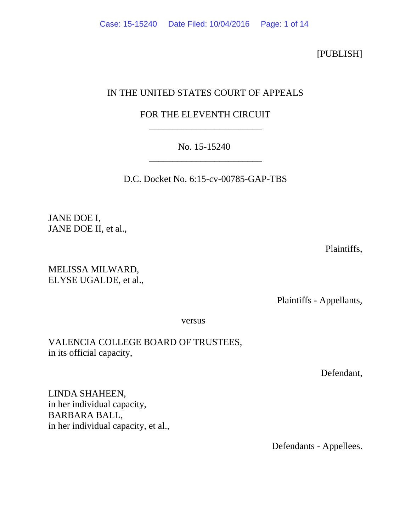[PUBLISH]

## IN THE UNITED STATES COURT OF APPEALS

### FOR THE ELEVENTH CIRCUIT \_\_\_\_\_\_\_\_\_\_\_\_\_\_\_\_\_\_\_\_\_\_\_\_

### No. 15-15240 \_\_\_\_\_\_\_\_\_\_\_\_\_\_\_\_\_\_\_\_\_\_\_\_

D.C. Docket No. 6:15-cv-00785-GAP-TBS

JANE DOE I, JANE DOE II, et al.,

Plaintiffs,

MELISSA MILWARD, ELYSE UGALDE, et al.,

Plaintiffs - Appellants,

versus

## VALENCIA COLLEGE BOARD OF TRUSTEES, in its official capacity,

Defendant,

LINDA SHAHEEN, in her individual capacity, BARBARA BALL, in her individual capacity, et al.,

Defendants - Appellees.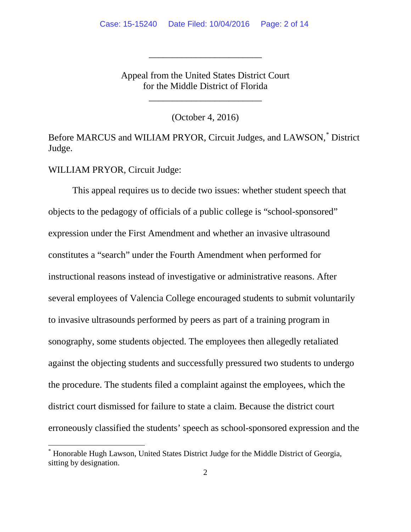Appeal from the United States District Court for the Middle District of Florida

\_\_\_\_\_\_\_\_\_\_\_\_\_\_\_\_\_\_\_\_\_\_\_\_

\_\_\_\_\_\_\_\_\_\_\_\_\_\_\_\_\_\_\_\_\_\_\_\_

(October 4, 2016)

Before MARCUS and WILIAM PRYOR, Circuit Judges, and LAWSON,[\\*](#page-1-0) District Judge.

WILLIAM PRYOR, Circuit Judge:

This appeal requires us to decide two issues: whether student speech that objects to the pedagogy of officials of a public college is "school-sponsored" expression under the First Amendment and whether an invasive ultrasound constitutes a "search" under the Fourth Amendment when performed for instructional reasons instead of investigative or administrative reasons. After several employees of Valencia College encouraged students to submit voluntarily to invasive ultrasounds performed by peers as part of a training program in sonography, some students objected. The employees then allegedly retaliated against the objecting students and successfully pressured two students to undergo the procedure. The students filed a complaint against the employees, which the district court dismissed for failure to state a claim. Because the district court erroneously classified the students' speech as school-sponsored expression and the

<span id="page-1-0"></span> <sup>\*</sup> Honorable Hugh Lawson, United States District Judge for the Middle District of Georgia, sitting by designation.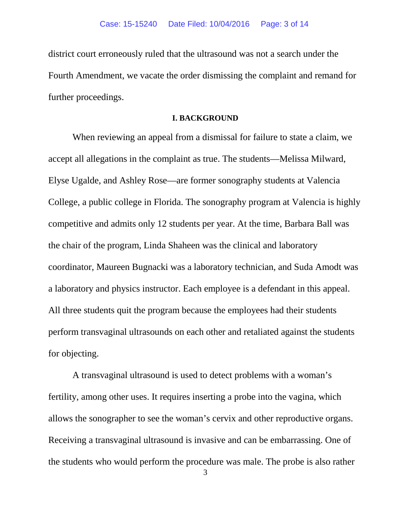district court erroneously ruled that the ultrasound was not a search under the Fourth Amendment, we vacate the order dismissing the complaint and remand for further proceedings.

#### **I. BACKGROUND**

When reviewing an appeal from a dismissal for failure to state a claim, we accept all allegations in the complaint as true. The students—Melissa Milward, Elyse Ugalde, and Ashley Rose—are former sonography students at Valencia College, a public college in Florida. The sonography program at Valencia is highly competitive and admits only 12 students per year. At the time, Barbara Ball was the chair of the program, Linda Shaheen was the clinical and laboratory coordinator, Maureen Bugnacki was a laboratory technician, and Suda Amodt was a laboratory and physics instructor. Each employee is a defendant in this appeal. All three students quit the program because the employees had their students perform transvaginal ultrasounds on each other and retaliated against the students for objecting.

A transvaginal ultrasound is used to detect problems with a woman's fertility, among other uses. It requires inserting a probe into the vagina, which allows the sonographer to see the woman's cervix and other reproductive organs. Receiving a transvaginal ultrasound is invasive and can be embarrassing. One of the students who would perform the procedure was male. The probe is also rather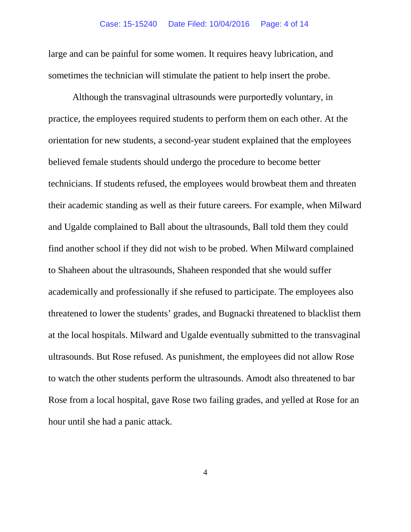large and can be painful for some women. It requires heavy lubrication, and sometimes the technician will stimulate the patient to help insert the probe.

Although the transvaginal ultrasounds were purportedly voluntary, in practice, the employees required students to perform them on each other. At the orientation for new students, a second-year student explained that the employees believed female students should undergo the procedure to become better technicians. If students refused, the employees would browbeat them and threaten their academic standing as well as their future careers. For example, when Milward and Ugalde complained to Ball about the ultrasounds, Ball told them they could find another school if they did not wish to be probed. When Milward complained to Shaheen about the ultrasounds, Shaheen responded that she would suffer academically and professionally if she refused to participate. The employees also threatened to lower the students' grades, and Bugnacki threatened to blacklist them at the local hospitals. Milward and Ugalde eventually submitted to the transvaginal ultrasounds. But Rose refused. As punishment, the employees did not allow Rose to watch the other students perform the ultrasounds. Amodt also threatened to bar Rose from a local hospital, gave Rose two failing grades, and yelled at Rose for an hour until she had a panic attack.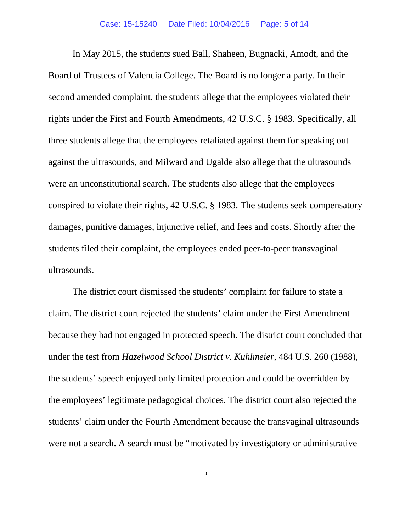In May 2015, the students sued Ball, Shaheen, Bugnacki, Amodt, and the Board of Trustees of Valencia College. The Board is no longer a party. In their second amended complaint, the students allege that the employees violated their rights under the First and Fourth Amendments, 42 U.S.C. § 1983. Specifically, all three students allege that the employees retaliated against them for speaking out against the ultrasounds, and Milward and Ugalde also allege that the ultrasounds were an unconstitutional search. The students also allege that the employees conspired to violate their rights, 42 U.S.C. § 1983. The students seek compensatory damages, punitive damages, injunctive relief, and fees and costs. Shortly after the students filed their complaint, the employees ended peer-to-peer transvaginal ultrasounds.

The district court dismissed the students' complaint for failure to state a claim. The district court rejected the students' claim under the First Amendment because they had not engaged in protected speech. The district court concluded that under the test from *Hazelwood School District v. Kuhlmeier*, 484 U.S. 260 (1988), the students' speech enjoyed only limited protection and could be overridden by the employees' legitimate pedagogical choices. The district court also rejected the students' claim under the Fourth Amendment because the transvaginal ultrasounds were not a search. A search must be "motivated by investigatory or administrative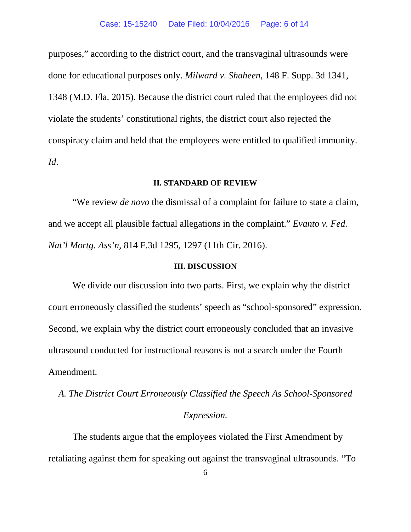purposes," according to the district court, and the transvaginal ultrasounds were done for educational purposes only. *Milward v. Shaheen*, 148 F. Supp. 3d 1341, 1348 (M.D. Fla. 2015). Because the district court ruled that the employees did not violate the students' constitutional rights, the district court also rejected the conspiracy claim and held that the employees were entitled to qualified immunity. *Id*.

#### **II. STANDARD OF REVIEW**

"We review *de novo* the dismissal of a complaint for failure to state a claim, and we accept all plausible factual allegations in the complaint." *Evanto v. Fed. Nat'l Mortg. Ass'n*, 814 F.3d 1295, 1297 (11th Cir. 2016).

#### **III. DISCUSSION**

We divide our discussion into two parts. First, we explain why the district court erroneously classified the students' speech as "school-sponsored" expression. Second, we explain why the district court erroneously concluded that an invasive ultrasound conducted for instructional reasons is not a search under the Fourth Amendment.

*A. The District Court Erroneously Classified the Speech As School-Sponsored Expression.*

The students argue that the employees violated the First Amendment by retaliating against them for speaking out against the transvaginal ultrasounds. "To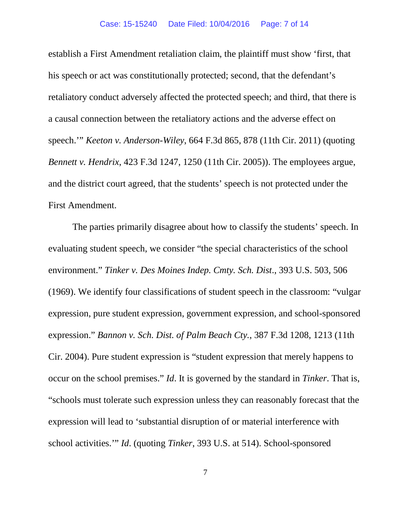establish a First Amendment retaliation claim, the plaintiff must show 'first, that his speech or act was constitutionally protected; second, that the defendant's retaliatory conduct adversely affected the protected speech; and third, that there is a causal connection between the retaliatory actions and the adverse effect on speech.'" *Keeton v. Anderson-Wiley*, 664 F.3d 865, 878 (11th Cir. 2011) (quoting *Bennett v. Hendrix*, 423 F.3d 1247, 1250 (11th Cir. 2005)). The employees argue, and the district court agreed, that the students' speech is not protected under the First Amendment.

The parties primarily disagree about how to classify the students' speech. In evaluating student speech, we consider "the special characteristics of the school environment." *Tinker v. Des Moines Indep. Cmty. Sch. Dist*., 393 U.S. 503, 506 (1969). We identify four classifications of student speech in the classroom: "vulgar expression, pure student expression, government expression, and school-sponsored expression." *Bannon v. Sch. Dist. of Palm Beach Cty.*, 387 F.3d 1208, 1213 (11th Cir. 2004). Pure student expression is "student expression that merely happens to occur on the school premises." *Id*. It is governed by the standard in *Tinker*. That is, "schools must tolerate such expression unless they can reasonably forecast that the expression will lead to 'substantial disruption of or material interference with school activities.'" *Id*. (quoting *Tinker*, 393 U.S. at 514). School-sponsored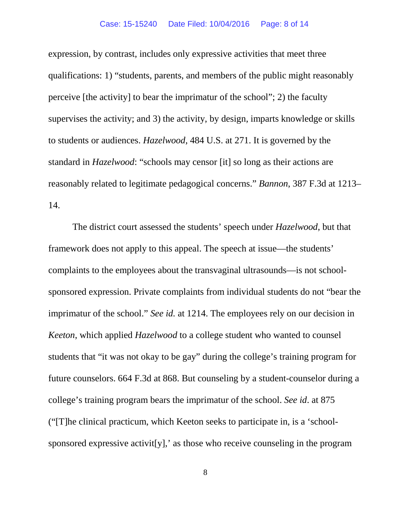#### Case: 15-15240 Date Filed: 10/04/2016 Page: 8 of 14

expression, by contrast, includes only expressive activities that meet three qualifications: 1) "students, parents, and members of the public might reasonably perceive [the activity] to bear the imprimatur of the school"; 2) the faculty supervises the activity; and 3) the activity, by design, imparts knowledge or skills to students or audiences. *Hazelwood*, 484 U.S. at 271. It is governed by the standard in *Hazelwood*: "schools may censor [it] so long as their actions are reasonably related to legitimate pedagogical concerns." *Bannon*, 387 F.3d at 1213– 14.

The district court assessed the students' speech under *Hazelwood*, but that framework does not apply to this appeal. The speech at issue—the students' complaints to the employees about the transvaginal ultrasounds—is not schoolsponsored expression. Private complaints from individual students do not "bear the imprimatur of the school." *See id.* at 1214. The employees rely on our decision in *Keeton*, which applied *Hazelwood* to a college student who wanted to counsel students that "it was not okay to be gay" during the college's training program for future counselors. 664 F.3d at 868. But counseling by a student-counselor during a college's training program bears the imprimatur of the school. *See id*. at 875 ("[T]he clinical practicum, which Keeton seeks to participate in, is a 'schoolsponsored expressive activit[y],' as those who receive counseling in the program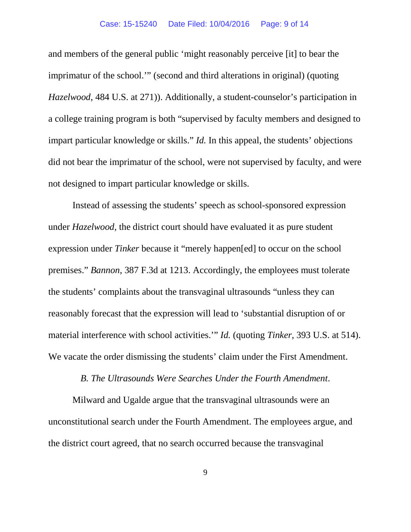#### Case: 15-15240 Date Filed: 10/04/2016 Page: 9 of 14

and members of the general public 'might reasonably perceive [it] to bear the imprimatur of the school.'" (second and third alterations in original) (quoting *Hazelwood*, 484 U.S. at 271)). Additionally, a student-counselor's participation in a college training program is both "supervised by faculty members and designed to impart particular knowledge or skills." *Id.* In this appeal, the students' objections did not bear the imprimatur of the school, were not supervised by faculty, and were not designed to impart particular knowledge or skills.

Instead of assessing the students' speech as school-sponsored expression under *Hazelwood*, the district court should have evaluated it as pure student expression under *Tinker* because it "merely happen[ed] to occur on the school premises." *Bannon*, 387 F.3d at 1213. Accordingly, the employees must tolerate the students' complaints about the transvaginal ultrasounds "unless they can reasonably forecast that the expression will lead to 'substantial disruption of or material interference with school activities.'" *Id.* (quoting *Tinker*, 393 U.S. at 514). We vacate the order dismissing the students' claim under the First Amendment.

#### *B. The Ultrasounds Were Searches Under the Fourth Amendment*.

Milward and Ugalde argue that the transvaginal ultrasounds were an unconstitutional search under the Fourth Amendment. The employees argue, and the district court agreed, that no search occurred because the transvaginal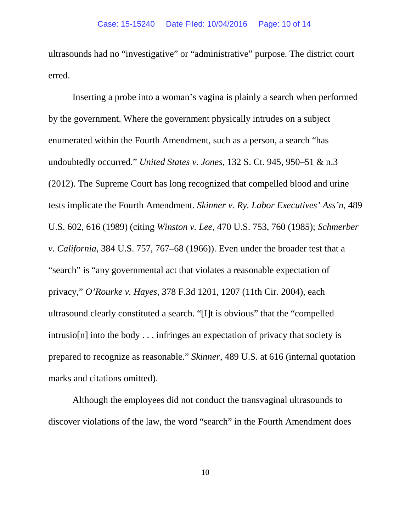ultrasounds had no "investigative" or "administrative" purpose. The district court erred.

Inserting a probe into a woman's vagina is plainly a search when performed by the government. Where the government physically intrudes on a subject enumerated within the Fourth Amendment, such as a person, a search "has undoubtedly occurred." *United States v. Jones*, 132 S. Ct. 945, 950–51 & n.3 (2012). The Supreme Court has long recognized that compelled blood and urine tests implicate the Fourth Amendment. *Skinner v. Ry. Labor Executives' Ass'n*, 489 U.S. 602, 616 (1989) (citing *Winston v. Lee*, 470 U.S. 753, 760 (1985); *Schmerber v. California*, 384 U.S. 757, 767–68 (1966)). Even under the broader test that a "search" is "any governmental act that violates a reasonable expectation of privacy," *O'Rourke v. Hayes*, 378 F.3d 1201, 1207 (11th Cir. 2004), each ultrasound clearly constituted a search. "[I]t is obvious" that the "compelled intrusio[n] into the body . . . infringes an expectation of privacy that society is prepared to recognize as reasonable." *Skinner*, 489 U.S. at 616 (internal quotation marks and citations omitted).

Although the employees did not conduct the transvaginal ultrasounds to discover violations of the law, the word "search" in the Fourth Amendment does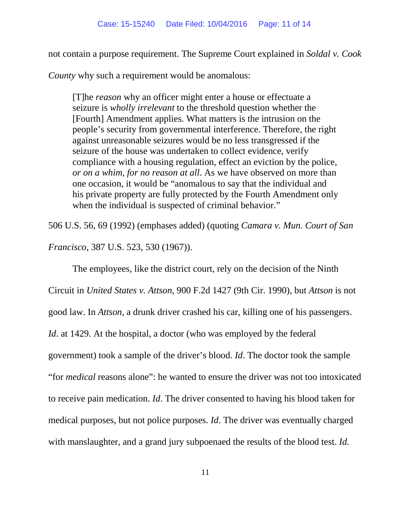not contain a purpose requirement. The Supreme Court explained in *Soldal v. Cook* 

*County* why such a requirement would be anomalous:

[T]he *reason* why an officer might enter a house or effectuate a seizure is *wholly irrelevant* to the threshold question whether the [Fourth] Amendment applies. What matters is the intrusion on the people's security from governmental interference. Therefore, the right against unreasonable seizures would be no less transgressed if the seizure of the house was undertaken to collect evidence, verify compliance with a housing regulation, effect an eviction by the police, *or on a whim, for no reason at all*. As we have observed on more than one occasion, it would be "anomalous to say that the individual and his private property are fully protected by the Fourth Amendment only when the individual is suspected of criminal behavior."

506 U.S. 56, 69 (1992) (emphases added) (quoting *Camara v. Mun. Court of San Francisco*, 387 U.S. 523, 530 (1967)).

The employees, like the district court, rely on the decision of the Ninth Circuit in *United States v. Attson*, 900 F.2d 1427 (9th Cir. 1990), but *Attson* is not good law. In *Attson*, a drunk driver crashed his car, killing one of his passengers. *Id.* at 1429. At the hospital, a doctor (who was employed by the federal government) took a sample of the driver's blood. *Id*. The doctor took the sample "for *medical* reasons alone": he wanted to ensure the driver was not too intoxicated to receive pain medication. *Id*. The driver consented to having his blood taken for medical purposes, but not police purposes. *Id*. The driver was eventually charged with manslaughter, and a grand jury subpoenaed the results of the blood test. *Id.*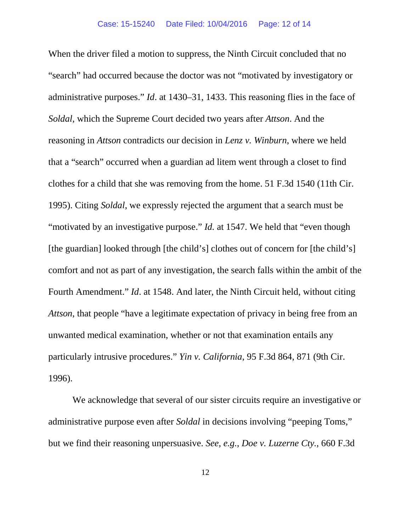When the driver filed a motion to suppress, the Ninth Circuit concluded that no "search" had occurred because the doctor was not "motivated by investigatory or administrative purposes." *Id*. at 1430–31, 1433. This reasoning flies in the face of *Soldal*, which the Supreme Court decided two years after *Attson*. And the reasoning in *Attson* contradicts our decision in *Lenz v. Winburn*, where we held that a "search" occurred when a guardian ad litem went through a closet to find clothes for a child that she was removing from the home. 51 F.3d 1540 (11th Cir. 1995). Citing *Soldal*, we expressly rejected the argument that a search must be "motivated by an investigative purpose." *Id.* at 1547. We held that "even though [the guardian] looked through [the child's] clothes out of concern for [the child's] comfort and not as part of any investigation, the search falls within the ambit of the Fourth Amendment." *Id*. at 1548. And later, the Ninth Circuit held, without citing *Attson*, that people "have a legitimate expectation of privacy in being free from an unwanted medical examination, whether or not that examination entails any particularly intrusive procedures." *Yin v. California*, 95 F.3d 864, 871 (9th Cir. 1996).

We acknowledge that several of our sister circuits require an investigative or administrative purpose even after *Soldal* in decisions involving "peeping Toms," but we find their reasoning unpersuasive. *See, e.g.*, *Doe v. Luzerne Cty.*, 660 F.3d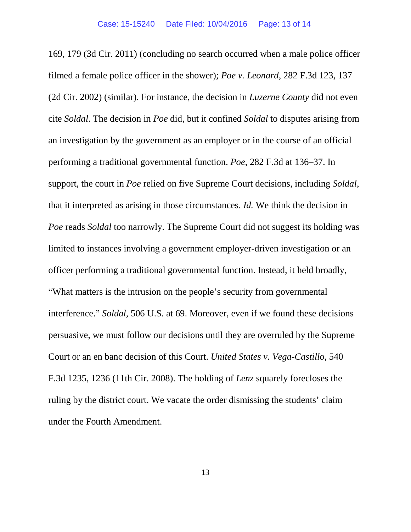169, 179 (3d Cir. 2011) (concluding no search occurred when a male police officer filmed a female police officer in the shower); *Poe v. Leonard*, 282 F.3d 123, 137 (2d Cir. 2002) (similar). For instance, the decision in *Luzerne County* did not even cite *Soldal*. The decision in *Poe* did, but it confined *Soldal* to disputes arising from an investigation by the government as an employer or in the course of an official performing a traditional governmental function. *Poe*, 282 F.3d at 136–37. In support, the court in *Poe* relied on five Supreme Court decisions, including *Soldal*, that it interpreted as arising in those circumstances. *Id.* We think the decision in *Poe* reads *Soldal* too narrowly. The Supreme Court did not suggest its holding was limited to instances involving a government employer-driven investigation or an officer performing a traditional governmental function. Instead, it held broadly, "What matters is the intrusion on the people's security from governmental interference." *Soldal*, 506 U.S. at 69. Moreover, even if we found these decisions persuasive, we must follow our decisions until they are overruled by the Supreme Court or an en banc decision of this Court. *United States v. Vega-Castillo*, 540 F.3d 1235, 1236 (11th Cir. 2008). The holding of *Lenz* squarely forecloses the ruling by the district court. We vacate the order dismissing the students' claim under the Fourth Amendment.